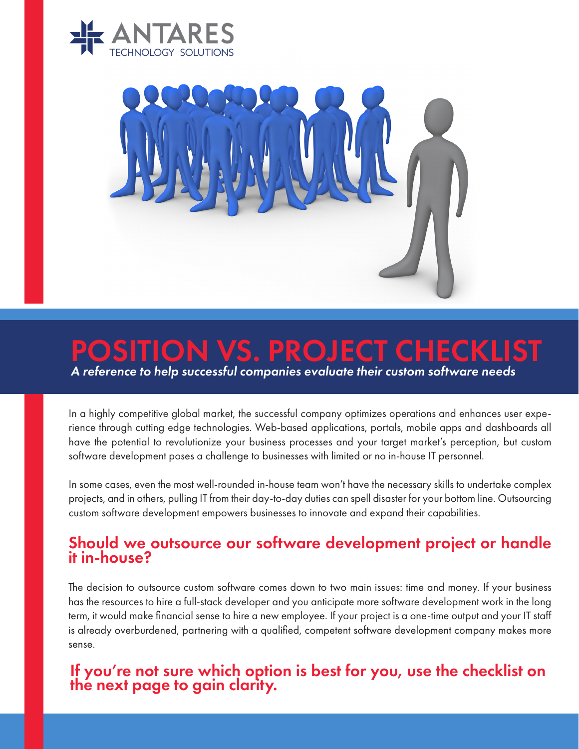



## POSITION VS. PROJECT CHECK

*A reference to help successful companies evaluate their custom software needs*

In a highly competitive global market, the successful company optimizes operations and enhances user experience through cutting edge technologies. Web-based applications, portals, mobile apps and dashboards all have the potential to revolutionize your business processes and your target market's perception, but custom software development poses a challenge to businesses with limited or no in-house IT personnel.

In some cases, even the most well-rounded in-house team won't have the necessary skills to undertake complex projects, and in others, pulling IT from their day-to-day duties can spell disaster for your bottom line. Outsourcing custom software development empowers businesses to innovate and expand their capabilities.

## Should we outsource our software development project or handle it in-house?

The decision to outsource custom software comes down to two main issues: time and money. If your business has the resources to hire a full-stack developer and you anticipate more software development work in the long term, it would make financial sense to hire a new employee. If your project is a one-time output and your IT staff is already overburdened, partnering with a qualified, competent software development company makes more sense.

## If you're not sure which option is best for you, use the checklist on the next page to gain clarity.